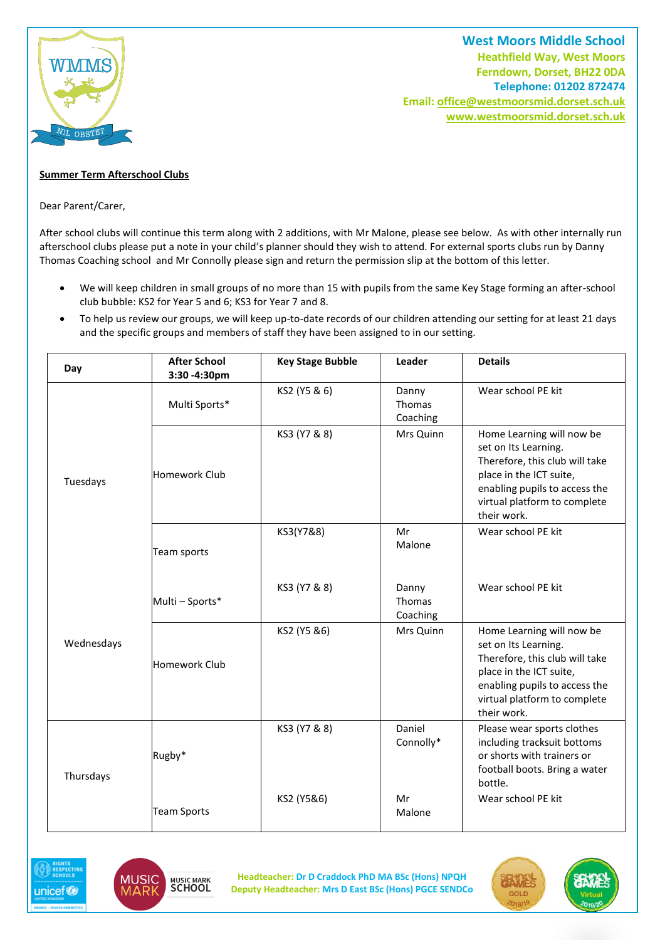

**West Moors Middle School Heathfield Way, West Moors Ferndown, Dorset, BH22 0DA Telephone: 01202 872474 Email[: office@westmoorsmid.dorset.sch.uk](mailto:office@westmoorsmid.dorset.sch.uk) www.westmoorsmid.dorset.sch.uk**

## **Summer Term Afterschool Clubs**

Dear Parent/Carer,

After school clubs will continue this term along with 2 additions, with Mr Malone, please see below. As with other internally run afterschool clubs please put a note in your child's planner should they wish to attend. For external sports clubs run by Danny Thomas Coaching school and Mr Connolly please sign and return the permission slip at the bottom of this letter.

- We will keep children in small groups of no more than 15 with pupils from the same Key Stage forming an after-school club bubble: KS2 for Year 5 and 6; KS3 for Year 7 and 8.
- To help us review our groups, we will keep up-to-date records of our children attending our setting for at least 21 days and the specific groups and members of staff they have been assigned to in our setting.

| Day        | <b>After School</b><br>3:30 - 4:30pm | <b>Key Stage Bubble</b> | Leader                      | <b>Details</b>                                                                                                                                                                                 |
|------------|--------------------------------------|-------------------------|-----------------------------|------------------------------------------------------------------------------------------------------------------------------------------------------------------------------------------------|
| Tuesdays   | Multi Sports*                        | KS2 (Y5 & 6)            | Danny<br>Thomas<br>Coaching | Wear school PE kit                                                                                                                                                                             |
|            | Homework Club                        | KS3 (Y7 & 8)            | Mrs Quinn                   | Home Learning will now be<br>set on Its Learning.<br>Therefore, this club will take<br>place in the ICT suite,<br>enabling pupils to access the<br>virtual platform to complete<br>their work. |
|            | Team sports                          | KS3(Y7&8)               | Mr<br>Malone                | Wear school PE kit                                                                                                                                                                             |
| Wednesdays | Multi - Sports*                      | KS3 (Y7 & 8)            | Danny<br>Thomas<br>Coaching | Wear school PE kit                                                                                                                                                                             |
|            | Homework Club                        | KS2 (Y5 &6)             | Mrs Quinn                   | Home Learning will now be<br>set on Its Learning.<br>Therefore, this club will take<br>place in the ICT suite,<br>enabling pupils to access the<br>virtual platform to complete<br>their work. |
| Thursdays  | Rugby*                               | KS3 (Y7 & 8)            | Daniel<br>Connolly*         | Please wear sports clothes<br>including tracksuit bottoms<br>or shorts with trainers or<br>football boots. Bring a water<br>bottle.                                                            |
|            | <b>Team Sports</b>                   | KS2 (Y5&6)              | Mr<br>Malone                | Wear school PE kit                                                                                                                                                                             |





**Headteacher: Dr D Craddock PhD MA BSc (Hons) NPQH Deputy Headteacher: Mrs D East BSc (Hons) PGCE SENDCo**

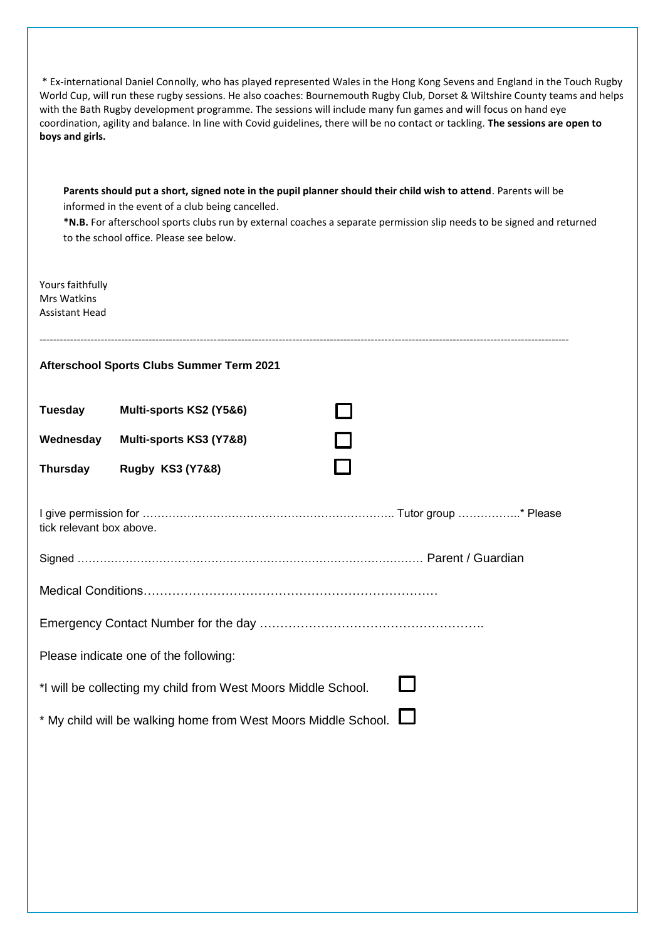| * Ex-international Daniel Connolly, who has played represented Wales in the Hong Kong Sevens and England in the Touch Rugby<br>World Cup, will run these rugby sessions. He also coaches: Bournemouth Rugby Club, Dorset & Wiltshire County teams and helps<br>with the Bath Rugby development programme. The sessions will include many fun games and will focus on hand eye<br>coordination, agility and balance. In line with Covid guidelines, there will be no contact or tackling. The sessions are open to<br>boys and girls. |                             |                   |  |  |  |  |
|--------------------------------------------------------------------------------------------------------------------------------------------------------------------------------------------------------------------------------------------------------------------------------------------------------------------------------------------------------------------------------------------------------------------------------------------------------------------------------------------------------------------------------------|-----------------------------|-------------------|--|--|--|--|
| Parents should put a short, signed note in the pupil planner should their child wish to attend. Parents will be<br>informed in the event of a club being cancelled.<br>*N.B. For afterschool sports clubs run by external coaches a separate permission slip needs to be signed and returned<br>to the school office. Please see below.                                                                                                                                                                                              |                             |                   |  |  |  |  |
| Yours faithfully<br><b>Mrs Watkins</b><br><b>Assistant Head</b>                                                                                                                                                                                                                                                                                                                                                                                                                                                                      |                             |                   |  |  |  |  |
| <b>Afterschool Sports Clubs Summer Term 2021</b>                                                                                                                                                                                                                                                                                                                                                                                                                                                                                     |                             |                   |  |  |  |  |
| <b>Tuesday</b>                                                                                                                                                                                                                                                                                                                                                                                                                                                                                                                       | Multi-sports KS2 (Y5&6)     |                   |  |  |  |  |
| Wednesday                                                                                                                                                                                                                                                                                                                                                                                                                                                                                                                            | Multi-sports KS3 (Y7&8)     |                   |  |  |  |  |
| <b>Thursday</b>                                                                                                                                                                                                                                                                                                                                                                                                                                                                                                                      | <b>Rugby KS3 (Y7&amp;8)</b> |                   |  |  |  |  |
| tick relevant box above.                                                                                                                                                                                                                                                                                                                                                                                                                                                                                                             |                             |                   |  |  |  |  |
| Signed                                                                                                                                                                                                                                                                                                                                                                                                                                                                                                                               |                             | Parent / Guardian |  |  |  |  |
|                                                                                                                                                                                                                                                                                                                                                                                                                                                                                                                                      |                             |                   |  |  |  |  |
|                                                                                                                                                                                                                                                                                                                                                                                                                                                                                                                                      |                             |                   |  |  |  |  |
| Please indicate one of the following:                                                                                                                                                                                                                                                                                                                                                                                                                                                                                                |                             |                   |  |  |  |  |
| *I will be collecting my child from West Moors Middle School.                                                                                                                                                                                                                                                                                                                                                                                                                                                                        |                             |                   |  |  |  |  |
| * My child will be walking home from West Moors Middle School.                                                                                                                                                                                                                                                                                                                                                                                                                                                                       |                             |                   |  |  |  |  |
|                                                                                                                                                                                                                                                                                                                                                                                                                                                                                                                                      |                             |                   |  |  |  |  |
|                                                                                                                                                                                                                                                                                                                                                                                                                                                                                                                                      |                             |                   |  |  |  |  |
|                                                                                                                                                                                                                                                                                                                                                                                                                                                                                                                                      |                             |                   |  |  |  |  |